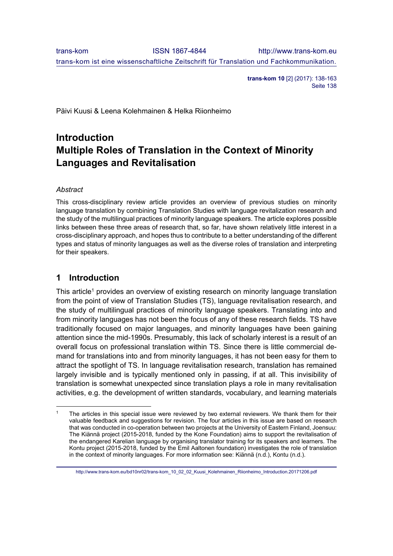**trans-kom 10** [2] (2017): 138-163 Seite 138

Päivi Kuusi & Leena Kolehmainen & Helka Riionheimo

# **Introduction Multiple Roles of Translation in the Context of Minority Languages and Revitalisation**

### *Abstract*

 $\overline{a}$ 

This cross-disciplinary review article provides an overview of previous studies on minority language translation by combining Translation Studies with language revitalization research and the study of the multilingual practices of minority language speakers. The article explores possible links between these three areas of research that, so far, have shown relatively little interest in a cross-disciplinary approach, and hopes thus to contribute to a better understanding of the different types and status of minority languages as well as the diverse roles of translation and interpreting for their speakers.

### **1 Introduction**

This article<sup>1</sup> provides an overview of existing research on minority language translation from the point of view of Translation Studies (TS), language revitalisation research, and the study of multilingual practices of minority language speakers. Translating into and from minority languages has not been the focus of any of these research fields. TS have traditionally focused on major languages, and minority languages have been gaining attention since the mid-1990s. Presumably, this lack of scholarly interest is a result of an overall focus on professional translation within TS. Since there is little commercial demand for translations into and from minority languages, it has not been easy for them to attract the spotlight of TS. In language revitalisation research, translation has remained largely invisible and is typically mentioned only in passing, if at all. This invisibility of translation is somewhat unexpected since translation plays a role in many revitalisation activities, e.g. the development of written standards, vocabulary, and learning materials

http://www.trans-kom.eu/bd10nr02/trans-kom\_10\_02\_02\_Kuusi\_Kolehmainen\_Riionheimo\_Introduction.20171206.pdf

The articles in this special issue were reviewed by two external reviewers. We thank them for their valuable feedback and suggestions for revision. The four articles in this issue are based on research that was conducted in co-operation between two projects at the University of Eastern Finland, Joensuu: The Kiännä project (2015-2018, funded by the Kone Foundation) aims to support the revitalisation of the endangered Karelian language by organising translator training for its speakers and learners. The Kontu project (2015-2018, funded by the Emil Aaltonen foundation) investigates the role of translation in the context of minority languages. For more information see: Kiännä (n.d.), Kontu (n.d.).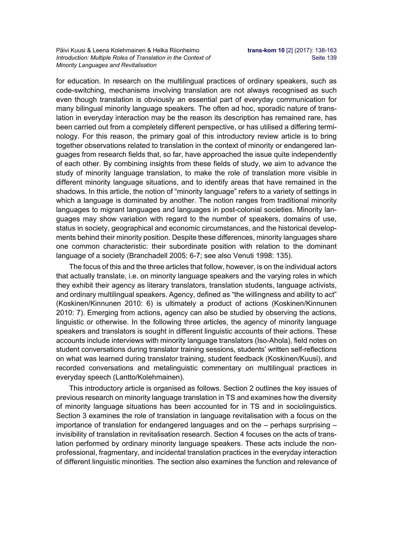for education. In research on the multilingual practices of ordinary speakers, such as code-switching, mechanisms involving translation are not always recognised as such even though translation is obviously an essential part of everyday communication for many bilingual minority language speakers. The often ad hoc, sporadic nature of translation in everyday interaction may be the reason its description has remained rare, has been carried out from a completely different perspective, or has utilised a differing terminology. For this reason, the primary goal of this introductory review article is to bring together observations related to translation in the context of minority or endangered languages from research fields that, so far, have approached the issue quite independently of each other. By combining insights from these fields of study, we aim to advance the study of minority language translation, to make the role of translation more visible in different minority language situations, and to identify areas that have remained in the shadows. In this article, the notion of "minority language" refers to a variety of settings in which a language is dominated by another. The notion ranges from traditional minority languages to migrant languages and languages in post-colonial societies. Minority languages may show variation with regard to the number of speakers, domains of use, status in society, geographical and economic circumstances, and the historical developments behind their minority position. Despite these differences, minority languages share one common characteristic: their subordinate position with relation to the dominant language of a society (Branchadell 2005: 6-7; see also Venuti 1998: 135).

The focus of this and the three articles that follow, however, is on the individual actors that actually translate, i.e. on minority language speakers and the varying roles in which they exhibit their agency as literary translators, translation students, language activists, and ordinary multilingual speakers. Agency, defined as "the willingness and ability to act" (Koskinen/Kinnunen 2010: 6) is ultimately a product of actions (Koskinen/Kinnunen 2010: 7). Emerging from actions, agency can also be studied by observing the actions, linguistic or otherwise. In the following three articles, the agency of minority language speakers and translators is sought in different linguistic accounts of their actions. These accounts include interviews with minority language translators (Iso-Ahola), field notes on student conversations during translator training sessions, students' written self-reflections on what was learned during translator training, student feedback (Koskinen/Kuusi), and recorded conversations and metalinguistic commentary on multilingual practices in everyday speech (Lantto/Kolehmainen).

This introductory article is organised as follows. Section 2 outlines the key issues of previous research on minority language translation in TS and examines how the diversity of minority language situations has been accounted for in TS and in sociolinguistics. Section 3 examines the role of translation in language revitalisation with a focus on the importance of translation for endangered languages and on the – perhaps surprising – invisibility of translation in revitalisation research. Section 4 focuses on the acts of translation performed by ordinary minority language speakers. These acts include the nonprofessional, fragmentary, and incidental translation practices in the everyday interaction of different linguistic minorities. The section also examines the function and relevance of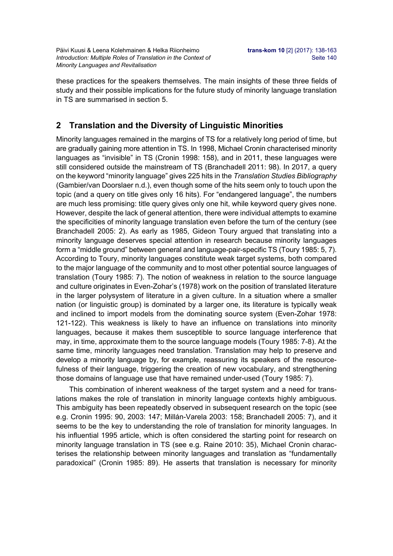these practices for the speakers themselves. The main insights of these three fields of study and their possible implications for the future study of minority language translation in TS are summarised in section 5.

## **2 Translation and the Diversity of Linguistic Minorities**

Minority languages remained in the margins of TS for a relatively long period of time, but are gradually gaining more attention in TS. In 1998, Michael Cronin characterised minority languages as "invisible" in TS (Cronin 1998: 158), and in 2011, these languages were still considered outside the mainstream of TS (Branchadell 2011: 98). In 2017, a query on the keyword "minority language" gives 225 hits in the *Translation Studies Bibliography* (Gambier/van Doorslaer n.d.), even though some of the hits seem only to touch upon the topic (and a query on title gives only 16 hits). For "endangered language", the numbers are much less promising: title query gives only one hit, while keyword query gives none. However, despite the lack of general attention, there were individual attempts to examine the specificities of minority language translation even before the turn of the century (see Branchadell 2005: 2). As early as 1985, Gideon Toury argued that translating into a minority language deserves special attention in research because minority languages form a "middle ground" between general and language-pair-specific TS (Toury 1985: 5, 7). According to Toury, minority languages constitute weak target systems, both compared to the major language of the community and to most other potential source languages of translation (Toury 1985: 7). The notion of weakness in relation to the source language and culture originates in Even-Zohar's (1978) work on the position of translated literature in the larger polysystem of literature in a given culture. In a situation where a smaller nation (or linguistic group) is dominated by a larger one, its literature is typically weak and inclined to import models from the dominating source system (Even-Zohar 1978: 121-122). This weakness is likely to have an influence on translations into minority languages, because it makes them susceptible to source language interference that may, in time, approximate them to the source language models (Toury 1985: 7-8). At the same time, minority languages need translation. Translation may help to preserve and develop a minority language by, for example, reassuring its speakers of the resourcefulness of their language, triggering the creation of new vocabulary, and strengthening those domains of language use that have remained under-used (Toury 1985: 7).

This combination of inherent weakness of the target system and a need for translations makes the role of translation in minority language contexts highly ambiguous. This ambiguity has been repeatedly observed in subsequent research on the topic (see e.g. Cronin 1995: 90, 2003: 147; Millán-Varela 2003: 158; Branchadell 2005: 7), and it seems to be the key to understanding the role of translation for minority languages. In his influential 1995 article, which is often considered the starting point for research on minority language translation in TS (see e.g. Raine 2010: 35), Michael Cronin characterises the relationship between minority languages and translation as "fundamentally paradoxical" (Cronin 1985: 89). He asserts that translation is necessary for minority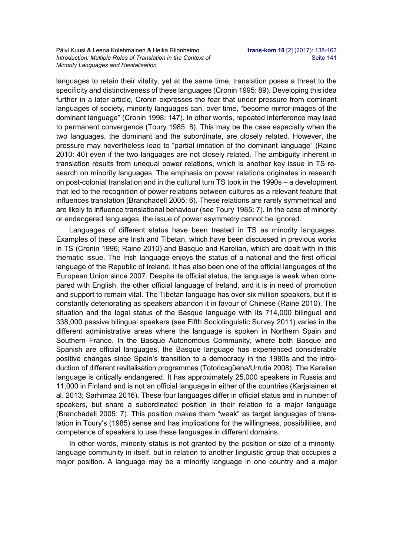languages to retain their vitality, yet at the same time, translation poses a threat to the specificity and distinctiveness of these languages (Cronin 1995: 89). Developing this idea further in a later article, Cronin expresses the fear that under pressure from dominant languages of society, minority languages can, over time, "become mirror-images of the dominant language" (Cronin 1998: 147). In other words, repeated interference may lead to permanent convergence (Toury 1985: 8). This may be the case especially when the two languages, the dominant and the subordinate, are closely related. However, the pressure may nevertheless lead to "partial imitation of the dominant language" (Raine 2010: 40) even if the two languages are not closely related. The ambiguity inherent in translation results from unequal power relations, which is another key issue in TS research on minority languages. The emphasis on power relations originates in research on post-colonial translation and in the cultural turn TS took in the 1990s – a development that led to the recognition of power relations between cultures as a relevant feature that influences translation (Branchadell 2005: 6). These relations are rarely symmetrical and are likely to influence translational behaviour (see Toury 1985: 7). In the case of minority or endangered languages, the issue of power asymmetry cannot be ignored.

Languages of different status have been treated in TS as minority languages. Examples of these are Irish and Tibetan, which have been discussed in previous works in TS (Cronin 1996; Raine 2010) and Basque and Karelian, which are dealt with in this thematic issue. The Irish language enjoys the status of a national and the first official language of the Republic of Ireland. It has also been one of the official languages of the European Union since 2007. Despite its official status, the language is weak when compared with English, the other official language of Ireland, and it is in need of promotion and support to remain vital. The Tibetan language has over six million speakers, but it is constantly deteriorating as speakers abandon it in favour of Chinese (Raine 2010). The situation and the legal status of the Basque language with its 714,000 bilingual and 338,000 passive bilingual speakers (see Fifth Sociolinguistic Survey 2011) varies in the different administrative areas where the language is spoken in Northern Spain and Southern France. In the Basque Autonomous Community, where both Basque and Spanish are official languages, the Basque language has experienced considerable positive changes since Spain's transition to a democracy in the 1980s and the introduction of different revitalisation programmes (Totoricagüena/Urrutia 2008). The Karelian language is critically endangered. It has approximately 25,000 speakers in Russia and 11,000 in Finland and is not an official language in either of the countries (Karjalainen et al. 2013; Sarhimaa 2016). These four languages differ in official status and in number of speakers, but share a subordinated position in their relation to a major language (Branchadell 2005: 7). This position makes them "weak" as target languages of translation in Toury's (1985) sense and has implications for the willingness, possibilities, and competence of speakers to use these languages in different domains.

In other words, minority status is not granted by the position or size of a minoritylanguage community in itself, but in relation to another linguistic group that occupies a major position. A language may be a minority language in one country and a major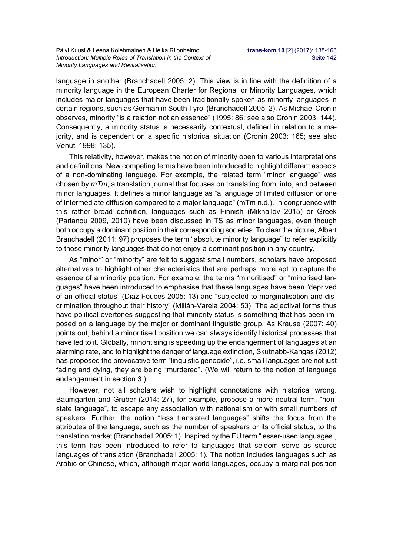language in another (Branchadell 2005: 2). This view is in line with the definition of a minority language in the European Charter for Regional or Minority Languages, which includes major languages that have been traditionally spoken as minority languages in certain regions, such as German in South Tyrol (Branchadell 2005: 2). As Michael Cronin observes, minority "is a relation not an essence" (1995: 86; see also Cronin 2003: 144). Consequently, a minority status is necessarily contextual, defined in relation to a majority, and is dependent on a specific historical situation (Cronin 2003: 165; see also Venuti 1998: 135).

This relativity, however, makes the notion of minority open to various interpretations and definitions. New competing terms have been introduced to highlight different aspects of a non-dominating language. For example, the related term "minor language" was chosen by *mTm*, a translation journal that focuses on translating from, into, and between minor languages. It defines a minor language as "a language of limited diffusion or one of intermediate diffusion compared to a major language" (mTm n.d.). In congruence with this rather broad definition, languages such as Finnish (Mikhailov 2015) or Greek (Parianou 2009, 2010) have been discussed in TS as minor languages, even though both occupy a dominant position in their corresponding societies. To clear the picture, Albert Branchadell (2011: 97) proposes the term "absolute minority language" to refer explicitly to those minority languages that do not enjoy a dominant position in any country.

As "minor" or "minority" are felt to suggest small numbers, scholars have proposed alternatives to highlight other characteristics that are perhaps more apt to capture the essence of a minority position. For example, the terms "minoritised" or "minorised languages" have been introduced to emphasise that these languages have been "deprived of an official status" (Diaz Fouces 2005: 13) and "subjected to marginalisation and discrimination throughout their history" (Millán-Varela 2004: 53). The adjectival forms thus have political overtones suggesting that minority status is something that has been imposed on a language by the major or dominant linguistic group. As Krause (2007: 40) points out, behind a minoritised position we can always identify historical processes that have led to it. Globally, minoritising is speeding up the endangerment of languages at an alarming rate, and to highlight the danger of language extinction, Skutnabb-Kangas (2012) has proposed the provocative term "linguistic genocide", i.e. small languages are not just fading and dying, they are being "murdered". (We will return to the notion of language endangerment in section 3.)

However, not all scholars wish to highlight connotations with historical wrong. Baumgarten and Gruber (2014: 27), for example, propose a more neutral term, "nonstate language", to escape any association with nationalism or with small numbers of speakers. Further, the notion "less translated languages" shifts the focus from the attributes of the language, such as the number of speakers or its official status, to the translation market (Branchadell 2005: 1). Inspired by the EU term "lesser-used languages", this term has been introduced to refer to languages that seldom serve as source languages of translation (Branchadell 2005: 1). The notion includes languages such as Arabic or Chinese, which, although major world languages, occupy a marginal position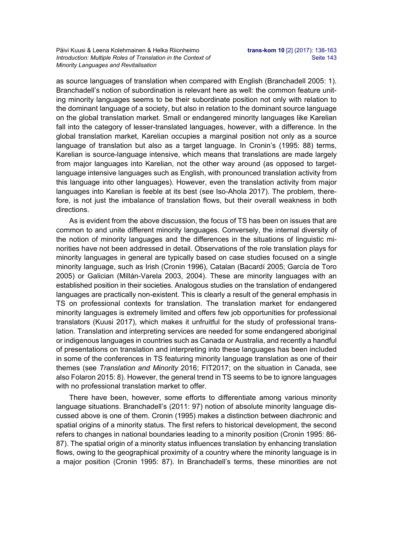Päivi Kuusi & Leena Kolehmainen & Helka Riionheimo **trans-kom 10** [2] (2017): 138-163 *Introduction: Multiple Roles of Translation in the Context of* Seite 143 *Minority Languages and Revitalisation* 

as source languages of translation when compared with English (Branchadell 2005: 1). Branchadell's notion of subordination is relevant here as well: the common feature uniting minority languages seems to be their subordinate position not only with relation to the dominant language of a society, but also in relation to the dominant source language on the global translation market. Small or endangered minority languages like Karelian fall into the category of lesser-translated languages, however, with a difference. In the global translation market, Karelian occupies a marginal position not only as a source language of translation but also as a target language. In Cronin's (1995: 88) terms, Karelian is source-language intensive, which means that translations are made largely from major languages into Karelian, not the other way around (as opposed to targetlanguage intensive languages such as English, with pronounced translation activity from this language into other languages). However, even the translation activity from major languages into Karelian is feeble at its best (see Iso-Ahola 2017). The problem, therefore, is not just the imbalance of translation flows, but their overall weakness in both directions.

As is evident from the above discussion, the focus of TS has been on issues that are common to and unite different minority languages. Conversely, the internal diversity of the notion of minority languages and the differences in the situations of linguistic minorities have not been addressed in detail. Observations of the role translation plays for minority languages in general are typically based on case studies focused on a single minority language, such as Irish (Cronin 1996), Catalan (Bacardí 2005; García de Toro 2005) or Galician (Millán-Varela 2003, 2004). These are minority languages with an established position in their societies. Analogous studies on the translation of endangered languages are practically non-existent. This is clearly a result of the general emphasis in TS on professional contexts for translation. The translation market for endangered minority languages is extremely limited and offers few job opportunities for professional translators (Kuusi 2017), which makes it unfruitful for the study of professional translation. Translation and interpreting services are needed for some endangered aboriginal or indigenous languages in countries such as Canada or Australia, and recently a handful of presentations on translation and interpreting into these languages has been included in some of the conferences in TS featuring minority language translation as one of their themes (see *Translation and Minority* 2016; FIT2017; on the situation in Canada, see also Folaron 2015: 8). However, the general trend in TS seems to be to ignore languages with no professional translation market to offer.

There have been, however, some efforts to differentiate among various minority language situations. Branchadell's (2011: 97) notion of absolute minority language discussed above is one of them. Cronin (1995) makes a distinction between diachronic and spatial origins of a minority status. The first refers to historical development, the second refers to changes in national boundaries leading to a minority position (Cronin 1995: 86- 87). The spatial origin of a minority status influences translation by enhancing translation flows, owing to the geographical proximity of a country where the minority language is in a major position (Cronin 1995: 87). In Branchadell's terms, these minorities are not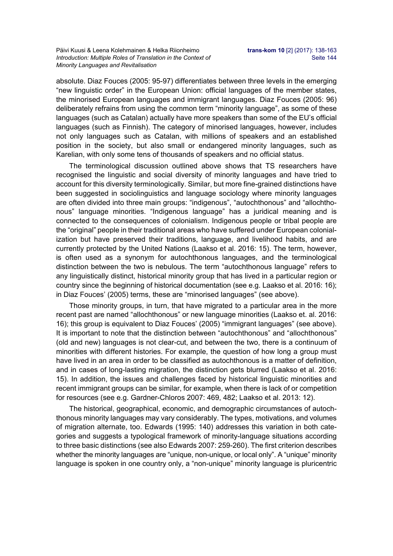absolute. Diaz Fouces (2005: 95-97) differentiates between three levels in the emerging "new linguistic order" in the European Union: official languages of the member states, the minorised European languages and immigrant languages. Diaz Fouces (2005: 96) deliberately refrains from using the common term "minority language", as some of these languages (such as Catalan) actually have more speakers than some of the EU's official languages (such as Finnish). The category of minorised languages, however, includes not only languages such as Catalan, with millions of speakers and an established position in the society, but also small or endangered minority languages, such as Karelian, with only some tens of thousands of speakers and no official status.

The terminological discussion outlined above shows that TS researchers have recognised the linguistic and social diversity of minority languages and have tried to account for this diversity terminologically. Similar, but more fine-grained distinctions have been suggested in sociolinguistics and language sociology where minority languages are often divided into three main groups: "indigenous", "autochthonous" and "allochthonous" language minorities. "Indigenous language" has a juridical meaning and is connected to the consequences of colonialism. Indigenous people or tribal people are the "original" people in their traditional areas who have suffered under European colonialization but have preserved their traditions, language, and livelihood habits, and are currently protected by the United Nations (Laakso et al. 2016: 15). The term, however, is often used as a synonym for autochthonous languages, and the terminological distinction between the two is nebulous. The term "autochthonous language" refers to any linguistically distinct, historical minority group that has lived in a particular region or country since the beginning of historical documentation (see e.g. Laakso et al. 2016: 16); in Diaz Fouces' (2005) terms, these are "minorised languages" (see above).

Those minority groups, in turn, that have migrated to a particular area in the more recent past are named "allochthonous" or new language minorities (Laakso et. al. 2016: 16); this group is equivalent to Diaz Fouces' (2005) "immigrant languages" (see above). It is important to note that the distinction between "autochthonous" and "allochthonous" (old and new) languages is not clear-cut, and between the two, there is a continuum of minorities with different histories. For example, the question of how long a group must have lived in an area in order to be classified as autochthonous is a matter of definition, and in cases of long-lasting migration, the distinction gets blurred (Laakso et al. 2016: 15). In addition, the issues and challenges faced by historical linguistic minorities and recent immigrant groups can be similar, for example, when there is lack of or competition for resources (see e.g. Gardner-Chloros 2007: 469, 482; Laakso et al. 2013: 12).

The historical, geographical, economic, and demographic circumstances of autochthonous minority languages may vary considerably. The types, motivations, and volumes of migration alternate, too. Edwards (1995: 140) addresses this variation in both categories and suggests a typological framework of minority-language situations according to three basic distinctions (see also Edwards 2007: 259-260). The first criterion describes whether the minority languages are "unique, non-unique, or local only". A "unique" minority language is spoken in one country only, a "non-unique" minority language is pluricentric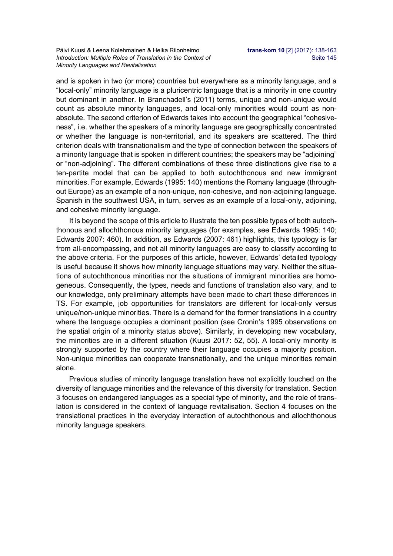and is spoken in two (or more) countries but everywhere as a minority language, and a "local-only" minority language is a pluricentric language that is a minority in one country but dominant in another. In Branchadell's (2011) terms, unique and non-unique would count as absolute minority languages, and local-only minorities would count as nonabsolute. The second criterion of Edwards takes into account the geographical "cohesiveness", i.e. whether the speakers of a minority language are geographically concentrated or whether the language is non-territorial, and its speakers are scattered. The third criterion deals with transnationalism and the type of connection between the speakers of a minority language that is spoken in different countries; the speakers may be "adjoining" or "non-adjoining". The different combinations of these three distinctions give rise to a ten-partite model that can be applied to both autochthonous and new immigrant minorities. For example, Edwards (1995: 140) mentions the Romany language (throughout Europe) as an example of a non-unique, non-cohesive, and non-adjoining language. Spanish in the southwest USA, in turn, serves as an example of a local-only, adjoining, and cohesive minority language.

It is beyond the scope of this article to illustrate the ten possible types of both autochthonous and allochthonous minority languages (for examples, see Edwards 1995: 140; Edwards 2007: 460). In addition, as Edwards (2007: 461) highlights, this typology is far from all-encompassing, and not all minority languages are easy to classify according to the above criteria. For the purposes of this article, however, Edwards' detailed typology is useful because it shows how minority language situations may vary. Neither the situations of autochthonous minorities nor the situations of immigrant minorities are homogeneous. Consequently, the types, needs and functions of translation also vary, and to our knowledge, only preliminary attempts have been made to chart these differences in TS. For example, job opportunities for translators are different for local-only versus unique/non-unique minorities. There is a demand for the former translations in a country where the language occupies a dominant position (see Cronin's 1995 observations on the spatial origin of a minority status above). Similarly, in developing new vocabulary, the minorities are in a different situation (Kuusi 2017: 52, 55). A local-only minority is strongly supported by the country where their language occupies a majority position. Non-unique minorities can cooperate transnationally, and the unique minorities remain alone.

Previous studies of minority language translation have not explicitly touched on the diversity of language minorities and the relevance of this diversity for translation. Section 3 focuses on endangered languages as a special type of minority, and the role of translation is considered in the context of language revitalisation. Section 4 focuses on the translational practices in the everyday interaction of autochthonous and allochthonous minority language speakers.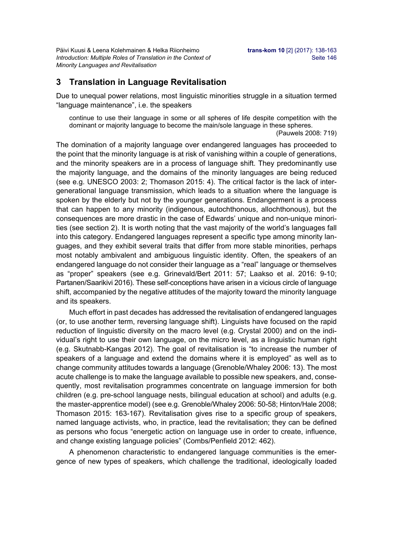Päivi Kuusi & Leena Kolehmainen & Helka Riionheimo **trans-kom 10** [2] (2017): 138-163 *Introduction: Multiple Roles of Translation in the Context of* Seite 146 *Minority Languages and Revitalisation* 

### **3 Translation in Language Revitalisation**

Due to unequal power relations, most linguistic minorities struggle in a situation termed "language maintenance", i.e. the speakers

continue to use their language in some or all spheres of life despite competition with the dominant or majority language to become the main/sole language in these spheres.

(Pauwels 2008: 719)

The domination of a majority language over endangered languages has proceeded to the point that the minority language is at risk of vanishing within a couple of generations, and the minority speakers are in a process of language shift. They predominantly use the majority language, and the domains of the minority languages are being reduced (see e.g. UNESCO 2003: 2; Thomason 2015: 4). The critical factor is the lack of intergenerational language transmission, which leads to a situation where the language is spoken by the elderly but not by the younger generations. Endangerment is a process that can happen to any minority (indigenous, autochthonous, allochthonous), but the consequences are more drastic in the case of Edwards' unique and non-unique minorities (see section 2). It is worth noting that the vast majority of the world's languages fall into this category. Endangered languages represent a specific type among minority languages, and they exhibit several traits that differ from more stable minorities, perhaps most notably ambivalent and ambiguous linguistic identity. Often, the speakers of an endangered language do not consider their language as a "real" language or themselves as "proper" speakers (see e.g. Grinevald/Bert 2011: 57; Laakso et al. 2016: 9-10; Partanen/Saarikivi 2016). These self-conceptions have arisen in a vicious circle of language shift, accompanied by the negative attitudes of the majority toward the minority language and its speakers.

Much effort in past decades has addressed the revitalisation of endangered languages (or, to use another term, reversing language shift). Linguists have focused on the rapid reduction of linguistic diversity on the macro level (e.g. Crystal 2000) and on the individual's right to use their own language, on the micro level, as a linguistic human right (e.g. Skutnabb-Kangas 2012). The goal of revitalisation is "to increase the number of speakers of a language and extend the domains where it is employed" as well as to change community attitudes towards a language (Grenoble/Whaley 2006: 13). The most acute challenge is to make the language available to possible new speakers, and, consequently, most revitalisation programmes concentrate on language immersion for both children (e.g. pre-school language nests, bilingual education at school) and adults (e.g. the master-apprentice model) (see e.g. Grenoble/Whaley 2006: 50-58; Hinton/Hale 2008; Thomason 2015: 163-167). Revitalisation gives rise to a specific group of speakers, named language activists, who, in practice, lead the revitalisation; they can be defined as persons who focus "energetic action on language use in order to create, influence, and change existing language policies" (Combs/Penfield 2012: 462).

A phenomenon characteristic to endangered language communities is the emergence of new types of speakers, which challenge the traditional, ideologically loaded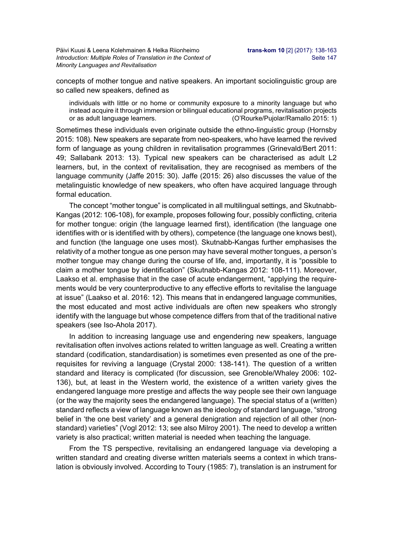Päivi Kuusi & Leena Kolehmainen & Helka Riionheimo **trans-kom 10** [2] (2017): 138-163 *Introduction: Multiple Roles of Translation in the Context of* Seite 147 *Minority Languages and Revitalisation* 

concepts of mother tongue and native speakers. An important sociolinguistic group are so called new speakers, defined as

individuals with little or no home or community exposure to a minority language but who instead acquire it through immersion or bilingual educational programs, revitalisation projects or as adult language learners. (O'Rourke/Pujolar/Ramallo 2015: 1)

Sometimes these individuals even originate outside the ethno-linguistic group (Hornsby 2015: 108). New speakers are separate from neo-speakers, who have learned the revived form of language as young children in revitalisation programmes (Grinevald/Bert 2011: 49; Sallabank 2013: 13). Typical new speakers can be characterised as adult L2 learners, but, in the context of revitalisation, they are recognised as members of the language community (Jaffe 2015: 30). Jaffe (2015: 26) also discusses the value of the metalinguistic knowledge of new speakers, who often have acquired language through formal education.

The concept "mother tongue" is complicated in all multilingual settings, and Skutnabb-Kangas (2012: 106-108), for example, proposes following four, possibly conflicting, criteria for mother tongue: origin (the language learned first), identification (the language one identifies with or is identified with by others), competence (the language one knows best), and function (the language one uses most). Skutnabb-Kangas further emphasises the relativity of a mother tongue as one person may have several mother tongues, a person's mother tongue may change during the course of life, and, importantly, it is "possible to claim a mother tongue by identification" (Skutnabb-Kangas 2012: 108-111). Moreover, Laakso et al. emphasise that in the case of acute endangerment, "applying the requirements would be very counterproductive to any effective efforts to revitalise the language at issue" (Laakso et al. 2016: 12). This means that in endangered language communities, the most educated and most active individuals are often new speakers who strongly identify with the language but whose competence differs from that of the traditional native speakers (see Iso-Ahola 2017).

In addition to increasing language use and engendering new speakers, language revitalisation often involves actions related to written language as well. Creating a written standard (codification, standardisation) is sometimes even presented as one of the prerequisites for reviving a language (Crystal 2000: 138-141). The question of a written standard and literacy is complicated (for discussion, see Grenoble/Whaley 2006: 102- 136), but, at least in the Western world, the existence of a written variety gives the endangered language more prestige and affects the way people see their own language (or the way the majority sees the endangered language). The special status of a (written) standard reflects a view of language known as the ideology of standard language, "strong belief in 'the one best variety' and a general denigration and rejection of all other (nonstandard) varieties" (Vogl 2012: 13; see also Milroy 2001). The need to develop a written variety is also practical; written material is needed when teaching the language.

From the TS perspective, revitalising an endangered language via developing a written standard and creating diverse written materials seems a context in which translation is obviously involved. According to Toury (1985: 7), translation is an instrument for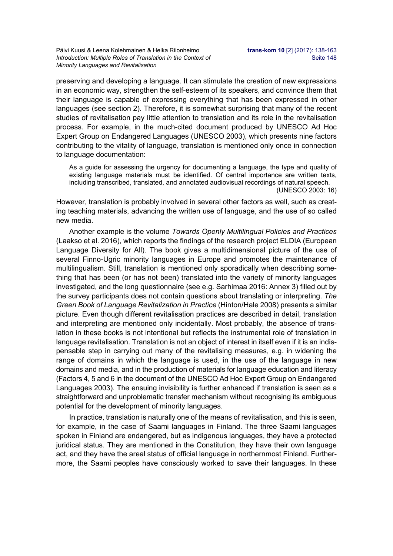preserving and developing a language. It can stimulate the creation of new expressions in an economic way, strengthen the self-esteem of its speakers, and convince them that their language is capable of expressing everything that has been expressed in other languages (see section 2). Therefore, it is somewhat surprising that many of the recent studies of revitalisation pay little attention to translation and its role in the revitalisation process. For example, in the much-cited document produced by UNESCO Ad Hoc Expert Group on Endangered Languages (UNESCO 2003), which presents nine factors contributing to the vitality of language, translation is mentioned only once in connection to language documentation:

As a guide for assessing the urgency for documenting a language, the type and quality of existing language materials must be identified. Of central importance are written texts, including transcribed, translated, and annotated audiovisual recordings of natural speech.

(UNESCO 2003: 16)

However, translation is probably involved in several other factors as well, such as creating teaching materials, advancing the written use of language, and the use of so called new media.

Another example is the volume *Towards Openly Multilingual Policies and Practices*  (Laakso et al. 2016), which reports the findings of the research project ELDIA (European Language Diversity for All). The book gives a multidimensional picture of the use of several Finno-Ugric minority languages in Europe and promotes the maintenance of multilingualism. Still, translation is mentioned only sporadically when describing something that has been (or has not been) translated into the variety of minority languages investigated, and the long questionnaire (see e.g. Sarhimaa 2016: Annex 3) filled out by the survey participants does not contain questions about translating or interpreting. *The Green Book of Language Revitalization in Practice* (Hinton/Hale 2008) presents a similar picture. Even though different revitalisation practices are described in detail, translation and interpreting are mentioned only incidentally. Most probably, the absence of translation in these books is not intentional but reflects the instrumental role of translation in language revitalisation. Translation is not an object of interest in itself even if it is an indispensable step in carrying out many of the revitalising measures, e.g. in widening the range of domains in which the language is used, in the use of the language in new domains and media, and in the production of materials for language education and literacy (Factors 4, 5 and 6 in the document of the UNESCO Ad Hoc Expert Group on Endangered Languages 2003). The ensuing invisibility is further enhanced if translation is seen as a straightforward and unproblematic transfer mechanism without recognising its ambiguous potential for the development of minority languages.

In practice, translation is naturally one of the means of revitalisation, and this is seen, for example, in the case of Saami languages in Finland. The three Saami languages spoken in Finland are endangered, but as indigenous languages, they have a protected juridical status. They are mentioned in the Constitution, they have their own language act, and they have the areal status of official language in northernmost Finland. Furthermore, the Saami peoples have consciously worked to save their languages. In these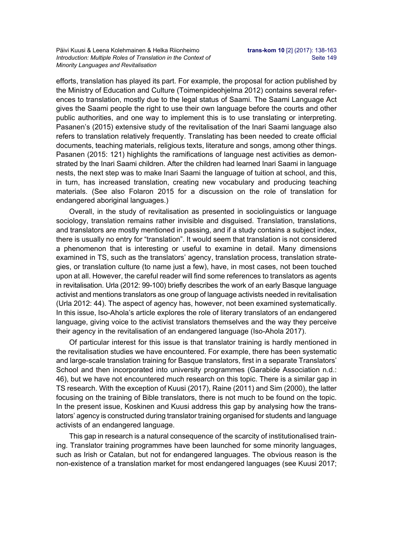efforts, translation has played its part. For example, the proposal for action published by the Ministry of Education and Culture (Toimenpideohjelma 2012) contains several references to translation, mostly due to the legal status of Saami. The Saami Language Act gives the Saami people the right to use their own language before the courts and other public authorities, and one way to implement this is to use translating or interpreting. Pasanen's (2015) extensive study of the revitalisation of the Inari Saami language also refers to translation relatively frequently. Translating has been needed to create official documents, teaching materials, religious texts, literature and songs, among other things. Pasanen (2015: 121) highlights the ramifications of language nest activities as demonstrated by the Inari Saami children. After the children had learned Inari Saami in language nests, the next step was to make Inari Saami the language of tuition at school, and this, in turn, has increased translation, creating new vocabulary and producing teaching materials. (See also Folaron 2015 for a discussion on the role of translation for endangered aboriginal languages.)

Overall, in the study of revitalisation as presented in sociolinguistics or language sociology, translation remains rather invisible and disguised. Translation, translations, and translators are mostly mentioned in passing, and if a study contains a subject index, there is usually no entry for "translation". It would seem that translation is not considered a phenomenon that is interesting or useful to examine in detail. Many dimensions examined in TS, such as the translators' agency, translation process, translation strategies, or translation culture (to name just a few), have, in most cases, not been touched upon at all. However, the careful reader will find some references to translators as agents in revitalisation. Urla (2012: 99-100) briefly describes the work of an early Basque language activist and mentions translators as one group of language activists needed in revitalisation (Urla 2012: 44). The aspect of agency has, however, not been examined systematically. In this issue, Iso-Ahola's article explores the role of literary translators of an endangered language, giving voice to the activist translators themselves and the way they perceive their agency in the revitalisation of an endangered language (Iso-Ahola 2017).

Of particular interest for this issue is that translator training is hardly mentioned in the revitalisation studies we have encountered. For example, there has been systematic and large-scale translation training for Basque translators, first in a separate Translators' School and then incorporated into university programmes (Garabide Association n.d.: 46), but we have not encountered much research on this topic. There is a similar gap in TS research. With the exception of Kuusi (2017), Raine (2011) and Sim (2000), the latter focusing on the training of Bible translators, there is not much to be found on the topic. In the present issue, Koskinen and Kuusi address this gap by analysing how the translators' agency is constructed during translator training organised for students and language activists of an endangered language.

This gap in research is a natural consequence of the scarcity of institutionalised training. Translator training programmes have been launched for some minority languages, such as Irish or Catalan, but not for endangered languages. The obvious reason is the non-existence of a translation market for most endangered languages (see Kuusi 2017;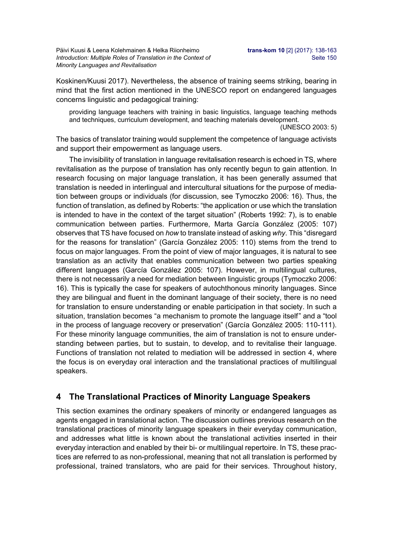Päivi Kuusi & Leena Kolehmainen & Helka Riionheimo **trans-kom 10** [2] (2017): 138-163 *Introduction: Multiple Roles of Translation in the Context of* Seite 150 *Minority Languages and Revitalisation* 

Koskinen/Kuusi 2017). Nevertheless, the absence of training seems striking, bearing in mind that the first action mentioned in the UNESCO report on endangered languages concerns linguistic and pedagogical training:

providing language teachers with training in basic linguistics, language teaching methods and techniques, curriculum development, and teaching materials development.

(UNESCO 2003: 5)

The basics of translator training would supplement the competence of language activists and support their empowerment as language users.

The invisibility of translation in language revitalisation research is echoed in TS, where revitalisation as the purpose of translation has only recently begun to gain attention. In research focusing on major language translation, it has been generally assumed that translation is needed in interlingual and intercultural situations for the purpose of mediation between groups or individuals (for discussion, see Tymoczko 2006: 16). Thus, the function of translation, as defined by Roberts: "the application or use which the translation is intended to have in the context of the target situation" (Roberts 1992: 7), is to enable communication between parties. Furthermore, Marta García González (2005: 107) observes that TS have focused on *how* to translate instead of asking *why*. This "disregard for the reasons for translation" (García González 2005: 110) stems from the trend to focus on major languages. From the point of view of major languages, it is natural to see translation as an activity that enables communication between two parties speaking different languages (García González 2005: 107). However, in multilingual cultures, there is not necessarily a need for mediation between linguistic groups (Tymoczko 2006: 16). This is typically the case for speakers of autochthonous minority languages. Since they are bilingual and fluent in the dominant language of their society, there is no need for translation to ensure understanding or enable participation in that society. In such a situation, translation becomes "a mechanism to promote the language itself" and a "tool in the process of language recovery or preservation" (García González 2005: 110-111). For these minority language communities, the aim of translation is not to ensure understanding between parties, but to sustain, to develop, and to revitalise their language. Functions of translation not related to mediation will be addressed in section 4, where the focus is on everyday oral interaction and the translational practices of multilingual speakers.

## **4 The Translational Practices of Minority Language Speakers**

This section examines the ordinary speakers of minority or endangered languages as agents engaged in translational action. The discussion outlines previous research on the translational practices of minority language speakers in their everyday communication, and addresses what little is known about the translational activities inserted in their everyday interaction and enabled by their bi- or multilingual repertoire. In TS, these practices are referred to as non-professional, meaning that not all translation is performed by professional, trained translators, who are paid for their services. Throughout history,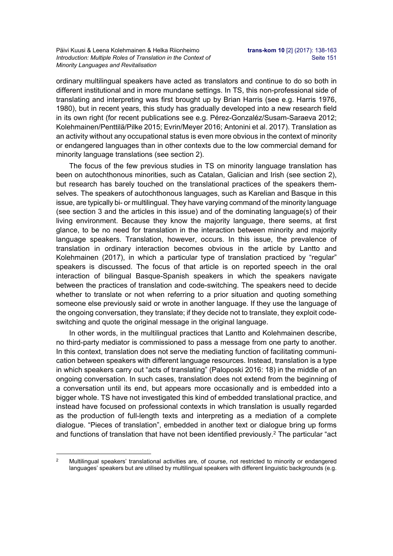ordinary multilingual speakers have acted as translators and continue to do so both in different institutional and in more mundane settings. In TS, this non-professional side of translating and interpreting was first brought up by Brian Harris (see e.g. Harris 1976, 1980), but in recent years, this study has gradually developed into a new research field in its own right (for recent publications see e.g. Pérez-Gonzaléz/Susam-Saraeva 2012; Kolehmainen/Penttilä/Pilke 2015; Evrin/Meyer 2016; Antonini et al. 2017). Translation as an activity without any occupational status is even more obvious in the context of minority or endangered languages than in other contexts due to the low commercial demand for minority language translations (see section 2).

The focus of the few previous studies in TS on minority language translation has been on autochthonous minorities, such as Catalan, Galician and Irish (see section 2), but research has barely touched on the translational practices of the speakers themselves. The speakers of autochthonous languages, such as Karelian and Basque in this issue, are typically bi- or multilingual. They have varying command of the minority language (see section 3 and the articles in this issue) and of the dominating language(s) of their living environment. Because they know the majority language, there seems, at first glance, to be no need for translation in the interaction between minority and majority language speakers. Translation, however, occurs. In this issue, the prevalence of translation in ordinary interaction becomes obvious in the article by Lantto and Kolehmainen (2017), in which a particular type of translation practiced by "regular" speakers is discussed. The focus of that article is on reported speech in the oral interaction of bilingual Basque-Spanish speakers in which the speakers navigate between the practices of translation and code-switching. The speakers need to decide whether to translate or not when referring to a prior situation and quoting something someone else previously said or wrote in another language. If they use the language of the ongoing conversation, they translate; if they decide not to translate, they exploit codeswitching and quote the original message in the original language.

In other words, in the multilingual practices that Lantto and Kolehmainen describe, no third-party mediator is commissioned to pass a message from one party to another. In this context, translation does not serve the mediating function of facilitating communication between speakers with different language resources. Instead, translation is a type in which speakers carry out "acts of translating" (Paloposki 2016: 18) in the middle of an ongoing conversation. In such cases, translation does not extend from the beginning of a conversation until its end, but appears more occasionally and is embedded into a bigger whole. TS have not investigated this kind of embedded translational practice, and instead have focused on professional contexts in which translation is usually regarded as the production of full-length texts and interpreting as a mediation of a complete dialogue. "Pieces of translation", embedded in another text or dialogue bring up forms and functions of translation that have not been identified previously.<sup>2</sup> The particular "act

<sup>1</sup> <sup>2</sup> Multilingual speakers' translational activities are, of course, not restricted to minority or endangered languages' speakers but are utilised by multilingual speakers with different linguistic backgrounds (e.g.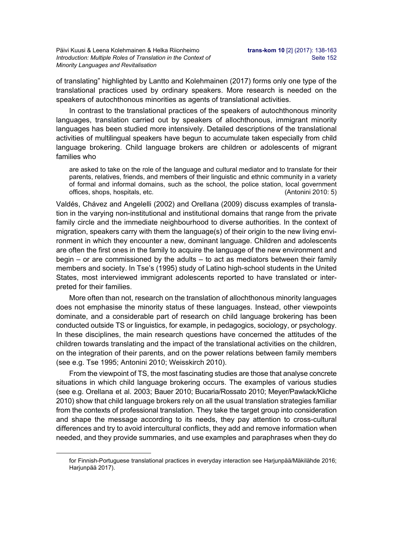of translating" highlighted by Lantto and Kolehmainen (2017) forms only one type of the translational practices used by ordinary speakers. More research is needed on the speakers of autochthonous minorities as agents of translational activities.

In contrast to the translational practices of the speakers of autochthonous minority languages, translation carried out by speakers of allochthonous, immigrant minority languages has been studied more intensively. Detailed descriptions of the translational activities of multilingual speakers have begun to accumulate taken especially from child language brokering. Child language brokers are children or adolescents of migrant families who

are asked to take on the role of the language and cultural mediator and to translate for their parents, relatives, friends, and members of their linguistic and ethnic community in a variety of formal and informal domains, such as the school, the police station, local government offices, shops, hospitals, etc. (Antonini 2010: 5)

Valdés, Chávez and Angelelli (2002) and Orellana (2009) discuss examples of translation in the varying non-institutional and institutional domains that range from the private family circle and the immediate neighbourhood to diverse authorities. In the context of migration, speakers carry with them the language(s) of their origin to the new living environment in which they encounter a new, dominant language. Children and adolescents are often the first ones in the family to acquire the language of the new environment and begin – or are commissioned by the adults – to act as mediators between their family members and society. In Tse's (1995) study of Latino high-school students in the United States, most interviewed immigrant adolescents reported to have translated or interpreted for their families.

More often than not, research on the translation of allochthonous minority languages does not emphasise the minority status of these languages. Instead, other viewpoints dominate, and a considerable part of research on child language brokering has been conducted outside TS or linguistics, for example, in pedagogics, sociology, or psychology. In these disciplines, the main research questions have concerned the attitudes of the children towards translating and the impact of the translational activities on the children, on the integration of their parents, and on the power relations between family members (see e.g. Tse 1995; Antonini 2010; Weisskirch 2010).

From the viewpoint of TS, the most fascinating studies are those that analyse concrete situations in which child language brokering occurs. The examples of various studies (see e.g. Orellana et al. 2003; Bauer 2010; Bucaria/Rossato 2010; Meyer/Pawlack/Kliche 2010) show that child language brokers rely on all the usual translation strategies familiar from the contexts of professional translation. They take the target group into consideration and shape the message according to its needs, they pay attention to cross-cultural differences and try to avoid intercultural conflicts, they add and remove information when needed, and they provide summaries, and use examples and paraphrases when they do

-

for Finnish-Portuguese translational practices in everyday interaction see Harjunpää/Mäkilähde 2016; Harjunpää 2017).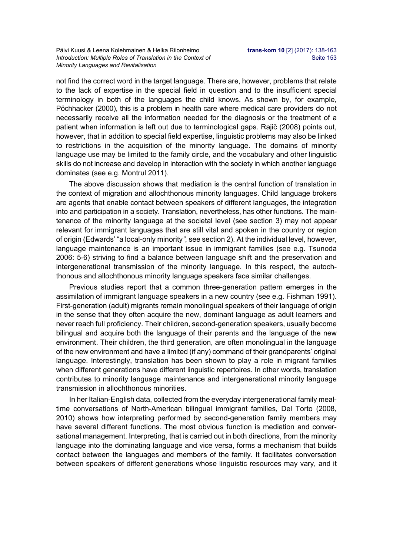not find the correct word in the target language. There are, however, problems that relate to the lack of expertise in the special field in question and to the insufficient special terminology in both of the languages the child knows. As shown by, for example, Pöchhacker (2000), this is a problem in health care where medical care providers do not necessarily receive all the information needed for the diagnosis or the treatment of a patient when information is left out due to terminological gaps. Rajič (2008) points out, however, that in addition to special field expertise, linguistic problems may also be linked to restrictions in the acquisition of the minority language. The domains of minority language use may be limited to the family circle, and the vocabulary and other linguistic skills do not increase and develop in interaction with the society in which another language dominates (see e.g. Montrul 2011).

The above discussion shows that mediation is the central function of translation in the context of migration and allochthonous minority languages. Child language brokers are agents that enable contact between speakers of different languages, the integration into and participation in a society. Translation, nevertheless, has other functions. The maintenance of the minority language at the societal level (see section 3) may not appear relevant for immigrant languages that are still vital and spoken in the country or region of origin (Edwards' "a local-only minority*"*, see section 2). At the individual level, however, language maintenance is an important issue in immigrant families (see e.g. Tsunoda 2006: 5-6) striving to find a balance between language shift and the preservation and intergenerational transmission of the minority language. In this respect, the autochthonous and allochthonous minority language speakers face similar challenges.

Previous studies report that a common three-generation pattern emerges in the assimilation of immigrant language speakers in a new country (see e.g. Fishman 1991). First-generation (adult) migrants remain monolingual speakers of their language of origin in the sense that they often acquire the new, dominant language as adult learners and never reach full proficiency. Their children, second-generation speakers, usually become bilingual and acquire both the language of their parents and the language of the new environment. Their children, the third generation, are often monolingual in the language of the new environment and have a limited (if any) command of their grandparents' original language. Interestingly, translation has been shown to play a role in migrant families when different generations have different linguistic repertoires. In other words, translation contributes to minority language maintenance and intergenerational minority language transmission in allochthonous minorities.

In her Italian-English data, collected from the everyday intergenerational family mealtime conversations of North-American bilingual immigrant families, Del Torto (2008, 2010) shows how interpreting performed by second-generation family members may have several different functions. The most obvious function is mediation and conversational management. Interpreting, that is carried out in both directions, from the minority language into the dominating language and vice versa, forms a mechanism that builds contact between the languages and members of the family. It facilitates conversation between speakers of different generations whose linguistic resources may vary, and it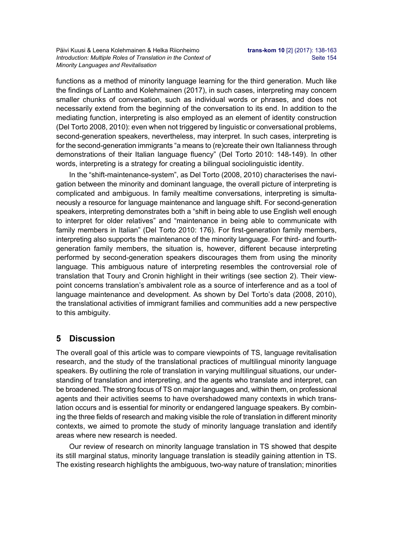Päivi Kuusi & Leena Kolehmainen & Helka Riionheimo **trans-kom 10** [2] (2017): 138-163 *Introduction: Multiple Roles of Translation in the Context of* Seite 154 *Minority Languages and Revitalisation* 

functions as a method of minority language learning for the third generation. Much like the findings of Lantto and Kolehmainen (2017), in such cases, interpreting may concern smaller chunks of conversation, such as individual words or phrases, and does not necessarily extend from the beginning of the conversation to its end. In addition to the mediating function, interpreting is also employed as an element of identity construction (Del Torto 2008, 2010): even when not triggered by linguistic or conversational problems, second-generation speakers, nevertheless, may interpret. In such cases, interpreting is for the second-generation immigrants "a means to (re)create their own Italianness through demonstrations of their Italian language fluency" (Del Torto 2010: 148-149). In other words, interpreting is a strategy for creating a bilingual sociolinguistic identity.

In the "shift-maintenance-system", as Del Torto (2008, 2010) characterises the navigation between the minority and dominant language, the overall picture of interpreting is complicated and ambiguous. In family mealtime conversations, interpreting is simultaneously a resource for language maintenance and language shift. For second-generation speakers, interpreting demonstrates both a "shift in being able to use English well enough to interpret for older relatives" and "maintenance in being able to communicate with family members in Italian" (Del Torto 2010: 176). For first-generation family members, interpreting also supports the maintenance of the minority language. For third- and fourthgeneration family members, the situation is, however, different because interpreting performed by second-generation speakers discourages them from using the minority language. This ambiguous nature of interpreting resembles the controversial role of translation that Toury and Cronin highlight in their writings (see section 2). Their viewpoint concerns translation's ambivalent role as a source of interference and as a tool of language maintenance and development. As shown by Del Torto's data (2008, 2010), the translational activities of immigrant families and communities add a new perspective to this ambiguity.

### **5 Discussion**

The overall goal of this article was to compare viewpoints of TS, language revitalisation research, and the study of the translational practices of multilingual minority language speakers. By outlining the role of translation in varying multilingual situations, our understanding of translation and interpreting, and the agents who translate and interpret, can be broadened. The strong focus of TS on major languages and, within them, on professional agents and their activities seems to have overshadowed many contexts in which translation occurs and is essential for minority or endangered language speakers. By combining the three fields of research and making visible the role of translation in different minority contexts, we aimed to promote the study of minority language translation and identify areas where new research is needed.

Our review of research on minority language translation in TS showed that despite its still marginal status, minority language translation is steadily gaining attention in TS. The existing research highlights the ambiguous, two-way nature of translation; minorities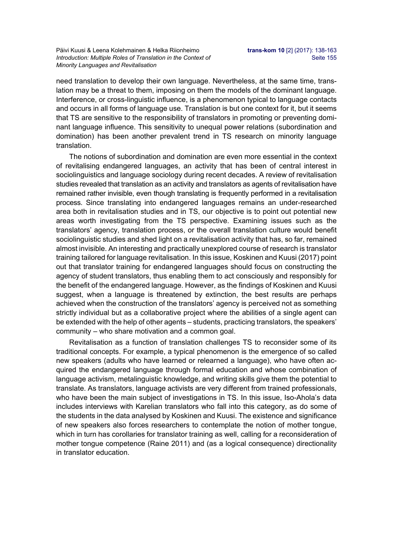Päivi Kuusi & Leena Kolehmainen & Helka Riionheimo **trans-kom 10** [2] (2017): 138-163 *Introduction: Multiple Roles of Translation in the Context of* Seite 155 *Minority Languages and Revitalisation* 

need translation to develop their own language. Nevertheless, at the same time, translation may be a threat to them, imposing on them the models of the dominant language. Interference, or cross-linguistic influence, is a phenomenon typical to language contacts and occurs in all forms of language use. Translation is but one context for it, but it seems that TS are sensitive to the responsibility of translators in promoting or preventing dominant language influence. This sensitivity to unequal power relations (subordination and domination) has been another prevalent trend in TS research on minority language translation.

The notions of subordination and domination are even more essential in the context of revitalising endangered languages, an activity that has been of central interest in sociolinguistics and language sociology during recent decades. A review of revitalisation studies revealed that translation as an activity and translators as agents of revitalisation have remained rather invisible, even though translating is frequently performed in a revitalisation process. Since translating into endangered languages remains an under-researched area both in revitalisation studies and in TS, our objective is to point out potential new areas worth investigating from the TS perspective. Examining issues such as the translators' agency, translation process, or the overall translation culture would benefit sociolinguistic studies and shed light on a revitalisation activity that has, so far, remained almost invisible. An interesting and practically unexplored course of research is translator training tailored for language revitalisation. In this issue, Koskinen and Kuusi (2017) point out that translator training for endangered languages should focus on constructing the agency of student translators, thus enabling them to act consciously and responsibly for the benefit of the endangered language. However, as the findings of Koskinen and Kuusi suggest, when a language is threatened by extinction, the best results are perhaps achieved when the construction of the translators' agency is perceived not as something strictly individual but as a collaborative project where the abilities of a single agent can be extended with the help of other agents – students, practicing translators, the speakers' community – who share motivation and a common goal.

Revitalisation as a function of translation challenges TS to reconsider some of its traditional concepts. For example, a typical phenomenon is the emergence of so called new speakers (adults who have learned or relearned a language), who have often acquired the endangered language through formal education and whose combination of language activism, metalinguistic knowledge, and writing skills give them the potential to translate. As translators, language activists are very different from trained professionals, who have been the main subject of investigations in TS. In this issue, Iso-Ahola's data includes interviews with Karelian translators who fall into this category, as do some of the students in the data analysed by Koskinen and Kuusi. The existence and significance of new speakers also forces researchers to contemplate the notion of mother tongue, which in turn has corollaries for translator training as well, calling for a reconsideration of mother tongue competence (Raine 2011) and (as a logical consequence) directionality in translator education.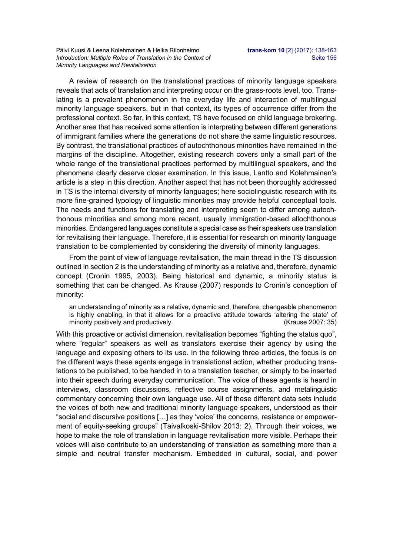A review of research on the translational practices of minority language speakers reveals that acts of translation and interpreting occur on the grass-roots level, too. Translating is a prevalent phenomenon in the everyday life and interaction of multilingual minority language speakers, but in that context, its types of occurrence differ from the professional context. So far, in this context, TS have focused on child language brokering. Another area that has received some attention is interpreting between different generations of immigrant families where the generations do not share the same linguistic resources. By contrast, the translational practices of autochthonous minorities have remained in the margins of the discipline. Altogether, existing research covers only a small part of the whole range of the translational practices performed by multilingual speakers, and the phenomena clearly deserve closer examination. In this issue, Lantto and Kolehmainen's article is a step in this direction. Another aspect that has not been thoroughly addressed in TS is the internal diversity of minority languages; here sociolinguistic research with its more fine-grained typology of linguistic minorities may provide helpful conceptual tools. The needs and functions for translating and interpreting seem to differ among autochthonous minorities and among more recent, usually immigration-based allochthonous minorities. Endangered languages constitute a special case as their speakers use translation for revitalising their language. Therefore, it is essential for research on minority language translation to be complemented by considering the diversity of minority languages.

From the point of view of language revitalisation, the main thread in the TS discussion outlined in section 2 is the understanding of minority as a relative and, therefore, dynamic concept (Cronin 1995, 2003). Being historical and dynamic, a minority status is something that can be changed. As Krause (2007) responds to Cronin's conception of minority:

an understanding of minority as a relative, dynamic and, therefore, changeable phenomenon is highly enabling, in that it allows for a proactive attitude towards 'altering the state' of minority positively and productively. The same state of the set of the set of the set of the set of the set of the set of the set of the set of the set of the set of the set of the set of the set of the set of the set of t

With this proactive or activist dimension, revitalisation becomes "fighting the status quo", where "regular" speakers as well as translators exercise their agency by using the language and exposing others to its use. In the following three articles, the focus is on the different ways these agents engage in translational action, whether producing translations to be published, to be handed in to a translation teacher, or simply to be inserted into their speech during everyday communication. The voice of these agents is heard in interviews, classroom discussions, reflective course assignments, and metalinguistic commentary concerning their own language use. All of these different data sets include the voices of both new and traditional minority language speakers, understood as their "social and discursive positions […] as they 'voice' the concerns, resistance or empowerment of equity-seeking groups" (Taivalkoski-Shilov 2013: 2). Through their voices, we hope to make the role of translation in language revitalisation more visible. Perhaps their voices will also contribute to an understanding of translation as something more than a simple and neutral transfer mechanism. Embedded in cultural, social, and power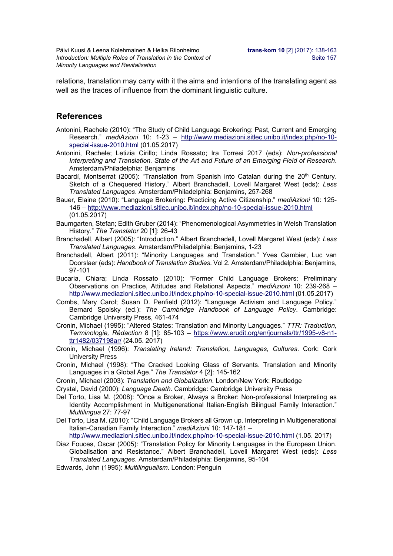relations, translation may carry with it the aims and intentions of the translating agent as well as the traces of influence from the dominant linguistic culture.

### **References**

- Antonini, Rachele (2010): "The Study of Child Language Brokering: Past, Current and Emerging Research." *mediAzioni* 10: 1-23 – http://www.mediazioni.sitlec.unibo.it/index.php/no-10 special-issue-2010.html (01.05.2017)
- Antonini, Rachele; Letizia Cirillo; Linda Rossato; Ira Torresi 2017 (eds): *Non-professional Interpreting and Translation. State of the Art and Future of an Emerging Field of Research*. Amsterdam/Philadelphia: Benjamins
- Bacardí, Montserrat (2005): "Translation from Spanish into Catalan during the 20<sup>th</sup> Century. Sketch of a Chequered History." Albert Branchadell, Lovell Margaret West (eds): *Less Translated Languages*. Amsterdam/Philadelphia: Benjamins, 257-268
- Bauer, Elaine (2010): "Language Brokering: Practicing Active Citizenship." *mediAzioni* 10: 125- 146 – http://www.mediazioni.sitlec.unibo.it/index.php/no-10-special-issue-2010.html (01.05.2017)
- Baumgarten, Stefan; Edith Gruber (2014): "Phenomenological Asymmetries in Welsh Translation History." *The Translator* 20 [1]: 26-43
- Branchadell, Albert (2005): "Introduction.ˮ Albert Branchadell, Lovell Margaret West (eds): *Less Translated Languages*. Amsterdam/Philadelphia: Benjamins, 1-23
- Branchadell, Albert (2011): "Minority Languages and Translation." Yves Gambier, Luc van Doorslaer (eds): *Handbook of Translation Studies*. Vol 2. Amsterdam/Philadelphia: Benjamins, 97-101
- Bucaria, Chiara; Linda Rossato (2010): "Former Child Language Brokers: Preliminary Observations on Practice, Attitudes and Relational Aspects." *mediAzioni* 10: 239-268 – http://www.mediazioni.sitlec.unibo.it/index.php/no-10-special-issue-2010.html (01.05.2017)
- Combs, Mary Carol; Susan D. Penfield (2012): "Language Activism and Language Policy." Bernard Spolsky (ed.): *The Cambridge Handbook of Language Policy*. Cambridge: Cambridge University Press, 461-474
- Cronin, Michael (1995): "Altered States: Translation and Minority Languages." *TTR: Traduction, Terminologie, Rédaction* 8 [1]: 85-103 – https://www.erudit.org/en/journals/ttr/1995-v8-n1 ttr1482/037198ar/ (24.05. 2017)
- Cronin, Michael (1996): *Translating Ireland: Translation, Languages, Cultures*. Cork: Cork University Press
- Cronin, Michael (1998): "The Cracked Looking Glass of Servants. Translation and Minority Languages in a Global Age." *The Translator* 4 [2]: 145-162
- Cronin, Michael (2003): *Translation and Globalization*. London/New York: Routledge
- Crystal, David (2000): *Language Death*. Cambridge: Cambridge University Press
- Del Torto, Lisa M. (2008): "Once a Broker, Always a Broker: Non-professional Interpreting as Identity Accomplishment in Multigenerational Italian-English Bilingual Family Interaction." *Multilingua* 27: 77-97
- Del Torto, Lisa M. (2010): "Child Language Brokers all Grown up. Interpreting in Multigenerational Italian-Canadian Family Interaction." *mediAzioni* 10: 147-181 –

http://www.mediazioni.sitlec.unibo.it/index.php/no-10-special-issue-2010.html (1.05. 2017)

- Diaz Fouces, Oscar (2005): "Translation Policy for Minority Languages in the European Union. Globalisation and Resistance.ˮ Albert Branchadell, Lovell Margaret West (eds): *Less Translated Languages*. Amsterdam/Philadelphia: Benjamins, 95-104
- Edwards, John (1995): *Multilingualism*. London: Penguin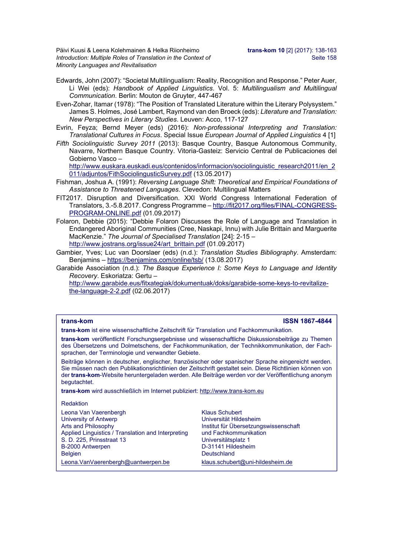Päivi Kuusi & Leena Kolehmainen & Helka Riionheimo **trans-kom 10** [2] (2017): 138-163 *Introduction: Multiple Roles of Translation in the Context of* Seite 158 *Minority Languages and Revitalisation* 

- Edwards, John (2007): "Societal Multilingualism: Reality, Recognition and Response.ˮ Peter Auer, Li Wei (eds): *Handbook of Applied Linguistics*. Vol. 5: *Multilingualism and Multilingual Communication*. Berlin: Mouton de Gruyter, 447-467
- Even-Zohar, Itamar (1978): "The Position of Translated Literature within the Literary Polysystem." James S. Holmes, José Lambert, Raymond van den Broeck (eds): *Literature and Translation: New Perspectives in Literary Studies*. Leuven: Acco, 117-127
- Evrin, Feyza; Bernd Meyer (eds) (2016): *Non-professional Interpreting and Translation: Translational Cultures in Focus*. Special Issue *European Journal of Applied Linguistics* 4 [1]
- *Fifth Sociolinguistic Survey 2011* (2013): Basque Country, Basque Autonomous Community, Navarre, Northern Basque Country. Vitoria-Gasteiz: Servicio Central de Publicaciones del Gobierno Vasco –

http://www.euskara.euskadi.eus/contenidos/informacion/sociolinguistic\_research2011/en\_2 011/adjuntos/FithSociolingusticSurvey.pdf (13.05.2017)

- Fishman, Joshua A. (1991): *Reversing Language Shift: Theoretical and Empirical Foundations of Assistance to Threatened Languages*. Clevedon: Multilingual Matters
- FIT2017. Disruption and Diversification. XXI World Congress International Federation of Translators, 3.-5.8.2017. Congress Programme – http://fit2017.org/files/FINAL-CONGRESS-PROGRAM-ONLINE.pdf (01.09.2017)
- Folaron, Debbie (2015): "Debbie Folaron Discusses the Role of Language and Translation in Endangered Aboriginal Communities (Cree, Naskapi, Innu) with Julie Brittain and Marguerite MacKenzie." *The Journal of Specialised Translation* [24]: 2-15 – http://www.jostrans.org/issue24/art\_brittain.pdf (01.09.2017)
- Gambier, Yves; Luc van Doorslaer (eds) (n.d.): *Translation Studies Bibliography*. Amsterdam: Benjamins – https://benjamins.com/online/tsb/ (13.08.2017)
- Garabide Association (n.d.): *The Basque Experience I: Some Keys to Language and Identity Recovery*. Eskoriatza: Gertu –

http://www.garabide.eus/fitxategiak/dokumentuak/doks/garabide-some-keys-to-revitalizethe-language-2-2.pdf (02.06.2017)

### **trans-kom ISSN 1867-4844**

**trans-kom** ist eine wissenschaftliche Zeitschrift für Translation und Fachkommunikation.

**trans-kom** veröffentlicht Forschungsergebnisse und wissenschaftliche Diskussionsbeiträge zu Themen des Übersetzens und Dolmetschens, der Fachkommunikation, der Technikkommunikation, der Fachsprachen, der Terminologie und verwandter Gebiete.

Beiträge können in deutscher, englischer, französischer oder spanischer Sprache eingereicht werden. Sie müssen nach den Publikationsrichtlinien der Zeitschrift gestaltet sein. Diese Richtlinien können von der **trans-kom**-Website heruntergeladen werden. Alle Beiträge werden vor der Veröffentlichung anonym begutachtet.

**trans-kom** wird ausschließlich im Internet publiziert: http://www.trans-kom.eu

### Redaktion

| Leona Van Vaerenbergh                              | <b>Klaus Schubert</b> |
|----------------------------------------------------|-----------------------|
| University of Antwerp                              | Universität Hilde     |
| Arts and Philosophy                                | Institut für Über     |
| Applied Linguistics / Translation and Interpreting | und Fachkomm          |
| S. D. 225, Prinsstraat 13                          | Universitätsplat:     |
| B-2000 Antwerpen                                   | D-31141 Hildes        |
| <b>Belgien</b>                                     | Deutschland           |
| Leona. Van Vaerenbergh@uantwerpen.be               | klaus.schubert@       |

ät Hildesheim ir Übersetzungswissenschaft hkommunikation ätsplatz 1 **Hildesheim**  $\text{ubert}$ @uni-hildesheim.de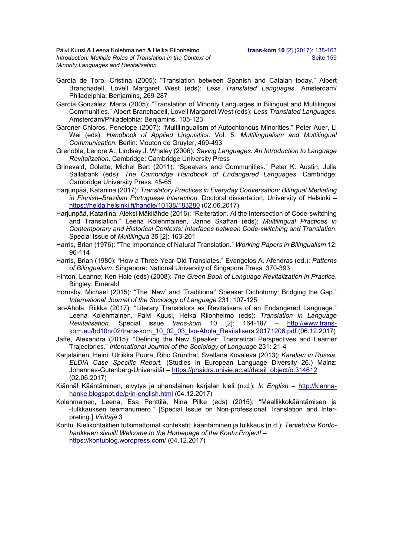Päivi Kuusi & Leena Kolehmainen & Helka Riionheimo **trans-kom 10** [2] (2017): 138-163 *Introduction: Multiple Roles of Translation in the Context of* Seite 159 *Minority Languages and Revitalisation* 

- García de Toro, Cristina (2005): "Translation between Spanish and Catalan today." Albert Branchadell, Lovell Margaret West (eds): *Less Translated Languages*. Amsterdam/ Philadelphia: Benjamins, 269-287
- García González, Marta (2005): "Translation of Minority Languages in Bilingual and Multilingual Communities." Albert Branchadell, Lovell Margaret West (eds): *Less Translated Languages*. Amsterdam/Philadelphia: Benjamins, 105-123
- Gardner-Chloros, Penelope (2007): "Multilingualism of Autochtonous Minorities." Peter Auer, Li Wei (eds): *Handbook of Applied Linguistics*. Vol. 5: *Multilingualism and Multilingual Communication.* Berlin: Mouton de Gruyter, 469-493
- Grenoble, Lenore A.; Lindsay J. Whaley (2006): *Saving Languages. An Introduction to Language Revitalization*. Cambridge: Cambridge University Press
- Grinevald, Colette; Michel Bert (2011): "Speakers and Communities." Peter K. Austin, Julia Sallabank (eds): *The Cambridge Handbook of Endangered Languages*. Cambridge: Cambridge University Press, 45-65
- Harjunpää, Katariina (2017): *Translatory Practices in Everyday Conversation: Bilingual Mediating in Finnish–Brazilian Portuguese Interaction.* Doctoral dissertation, University of Helsinki – https://helda.helsinki.fi/handle/10138/183280 (02.06.2017)
- Harjunpää, Katariina; Aleksi Mäkilähde (2016): "Reiteration. At the Intersection of Code-switching and Translation." Leena Kolehmainen, Janne Skaffari (eds): *Multilingual Practices in Contemporary and Historical Contexts: Interfaces between Code-switching and Translation*. Special Issue of *Multilingua* 35 [2]: 163-201
- Harris, Brian (1976): "The Importance of Natural Translation." *Working Papers in Bilingualism* 12: 96-114
- Harris, Brian (1980): "How a Three-Year-Old Translates." Evangelos A. Afendras (ed.): *Patterns of Bilingualism*. Singapore: National University of Singapore Press, 370-393
- Hinton, Leanne; Ken Hale (eds) (2008): *The Green Book of Language Revitalization in Practice*. Bingley: Emerald
- Hornsby, Michael (2015): "The 'New' and 'Traditional' Speaker Dichotomy: Bridging the Gap." *International Journal of the Sociology of Language* 231: 107-125
- Iso-Ahola, Riikka (2017): "Literary Translators as Revitalisers of an Endangered Language." Leena Kolehmainen, Päivi Kuusi, Helka Riionheimo (eds): *Translation in Language Revitalisation*. Special issue *trans-kom* 10 [2]: 164-187 – http://www.transkom.eu/bd10nr02/trans-kom\_10\_02\_03\_Iso-Ahola\_Revitalisers.20171206.pdf (06.12.2017)
- Jaffe, Alexandra (2015): "Defining the New Speaker: Theoretical Perspectives and Learner Trajectories." *International Journal of the Sociology of Language* 231: 21-4
- Karjalainen, Heini; Ulriikka Puura, Riho Grünthal, Svetlana Kovaleva (2013): *Karelian in Russia. ELDIA Case Specific Report.* (Studies in European Language Diversity 26.) Mainz: Johannes-Gutenberg-Universität – https://phaidra.univie.ac.at/detail\_object/o:314612 (02.06.2017)
- Kiännä! Kääntäminen, elvytys ja uhanalainen karjalan kieli (n.d.): *In English* http://kiannahanke.blogspot.de/p/in-english.html (04.12.2017)
- Kolehmainen, Leena; Esa Penttilä, Nina Pilke (eds) (2015): "Maallikkokääntämisen ja -tulkkauksen teemanumero." [Special Issue on Non-professional Translation and Interpreting.] *Virittäjä* 3
- Kontu. Kielikontaktien tutkimattomat kontekstit: kääntäminen ja tulkkaus (n.d.): *Tervetuloa Kontohankkeen sivuill! Welcome to the Homepage of the Kontu Project!* – https://kontublog.wordpress.com/ (04.12.2017)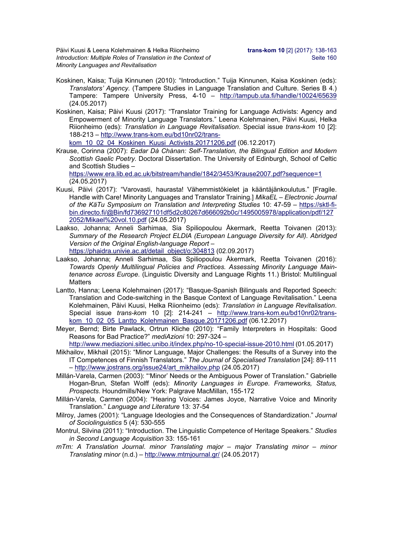Päivi Kuusi & Leena Kolehmainen & Helka Riionheimo **trans-kom 10** [2] (2017): 138-163 *Introduction: Multiple Roles of Translation in the Context of* Seite 160 *Minority Languages and Revitalisation* 

- Koskinen, Kaisa; Tuija Kinnunen (2010): "Introduction." Tuija Kinnunen, Kaisa Koskinen (eds): *Translators' Agency*. (Tampere Studies in Language Translation and Culture. Series B 4.) Tampere: Tampere University Press, 4-10 – http://tampub.uta.fi/handle/10024/65639 (24.05.2017)
- Koskinen, Kaisa; Päivi Kuusi (2017): "Translator Training for Language Activists: Agency and Empowerment of Minority Language Translators." Leena Kolehmainen, Päivi Kuusi, Helka Riionheimo (eds): *Translation in Language Revitalisation*. Special issue *trans-kom* 10 [2]: 188-213 – http://www.trans-kom.eu/bd10nr02/trans-

kom\_10\_02\_04\_Koskinen\_Kuusi\_Activists.20171206.pdf (06.12.2017)

Krause, Corinna (2007): *Eadar Dà Chànan: Self-Translation, the Bilingual Edition and Modern Scottish Gaelic Poetry.* Doctoral Dissertation. The University of Edinburgh, School of Celtic and Scottish Studies –

https://www.era.lib.ed.ac.uk/bitstream/handle/1842/3453/Krause2007.pdf?sequence=1 (24.05.2017)

- Kuusi, Päivi (2017): "Varovasti, haurasta! Vähemmistökielet ja kääntäjänkoulutus." [Fragile. Handle with Care! Minority Languages and Translator Training.] *MikaEL – Electronic Journal of the KäTu Symposium on Translation and Interpreting Studies* 10: 47-59 – https://sktl-fibin.directo.fi/@Bin/fd736927101df5d2c80267d666092b0c/1495005978/application/pdf/127 2052/Mikael%20vol.10.pdf (24.05.2017)
- Laakso, Johanna; Anneli Sarhimaa, Sia Spiliopoulou Åkermark, Reetta Toivanen (2013): *Summary of the Research Project ELDIA (European Language Diversity for All). Abridged Version of the Original English-language Report* –

https://phaidra.univie.ac.at/detail\_object/o:304813 (02.09.2017)

- Laakso, Johanna; Anneli Sarhimaa, Sia Spiliopoulou Åkermark, Reetta Toivanen (2016): *Towards Openly Multilingual Policies and Practices. Assessing Minority Language Maintenance across Europe*. (Linguistic Diversity and Language Rights 11.) Bristol: Multilingual **Matters**
- Lantto, Hanna; Leena Kolehmainen (2017): "Basque-Spanish Bilinguals and Reported Speech: Translation and Code-switching in the Basque Context of Language Revitalisation." Leena Kolehmainen, Päivi Kuusi, Helka Riionheimo (eds): *Translation in Language Revitalisation*. Special issue *trans-kom* 10 [2]: 214-241 – http://www.trans-kom.eu/bd10nr02/transkom\_10\_02\_05\_Lantto\_Kolehmainen\_Basque.20171206.pdf (06.12.2017)
- Meyer, Bernd; Birte Pawlack, Ortrun Kliche (2010): "Family Interpreters in Hospitals: Good Reasons for Bad Practice?" *mediAzioni* 10: 297-324 –

http://www.mediazioni.sitlec.unibo.it/index.php/no-10-special-issue-2010.html (01.05.2017)

- Mikhailov, Mikhail (2015): "Minor Language, Major Challenges: the Results of a Survey into the IT Competences of Finnish Translators.ˮ *The Journal of Specialised Translation* [24]: 89-111 – http://www.jostrans.org/issue24/art\_mikhailov.php (24.05.2017)
- Millán-Varela, Carmen (2003): "'Minor' Needs or the Ambiguous Power of Translation.ˮ Gabrielle Hogan-Brun, Stefan Wolff (eds): *Minority Languages in Europe. Frameworks, Status, Prospects*. Houndmills/New York: Palgrave MacMillan, 155-172
- Millán-Varela, Carmen (2004): "Hearing Voices: James Joyce, Narrative Voice and Minority Translation." *Language and Literature* 13: 37-54
- Milroy, James (2001): "Language Ideologies and the Consequences of Standardization." *Journal of Sociolinguistics* 5 (4): 530-555
- Montrul, Silvina (2011): "Introduction. The Linguistic Competence of Heritage Speakers." *Studies in Second Language Acquisition* 33: 155-161
- *mTm: A Translation Journal*. *minor Translating major major Translating minor minor Translating minor* (n.d.) *–* http://www.mtmjournal.gr/ (24.05.2017)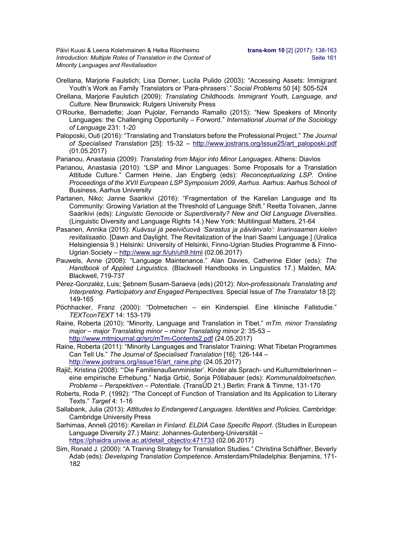Päivi Kuusi & Leena Kolehmainen & Helka Riionheimo **trans-kom 10** [2] (2017): 138-163 *Introduction: Multiple Roles of Translation in the Context of* Seite 161 *Minority Languages and Revitalisation* 

- Orellana, Marjorie Faulstich; Lisa Dorner, Lucila Pulido (2003): "Accessing Assets: Immigrant Youth's Work as Family Translators or 'Para-phrasers'." *Social Problems* 50 [4]: 505-524
- Orellana, Marjorie Faulstich (2009): *Translating Childhoods. Immigrant Youth, Language, and Culture*. New Brunswick: Rutgers University Press
- O'Rourke, Bernadette; Joan Pujolar, Fernando Ramallo (2015): "New Speakers of Minority Languages: the Challenging Opportunity – Forword." *International Journal of the Sociology of Language* 231: 1-20
- Paloposki, Outi (2016): "Translating and Translators before the Professional Project." *The Journal of Specialised Translation* [25]: 15-32 – http://www.jostrans.org/issue25/art\_paloposki.pdf (01.05.2017)
- Parianou, Anastasia (2009): *Translating from Major into Minor Languages*. Athens: Diavlos
- Parianou, Anastasia (2010): "LSP and Minor Languages: Some Proposals for a Translation Attitude Culture.ˮ Carmen Heine, Jan Engberg (eds): *Reconceptualizing LSP. Online Proceedings of the XVII European LSP Symposium 2009*, *Aarhus*. Aarhus: Aarhus School of Business, Aarhus University
- Partanen, Niko; Janne Saarikivi (2016): "Fragmentation of the Karelian Language and Its Community: Growing Variation at the Threshold of Language Shift." Reetta Toivanen, Janne Saarikivi (eds): *Linguistic Genocide or Superdiversity? New and Old Language Diversities*. (Linguistic Diversity and Language Rights 14.) New York: Multilingual Matters, 21-64
- Pasanen, Annika (2015): *Kuávsui já peeivičuovâ 'Sarastus ja päivänvalo': Inarinsaamen kielen revitalisaatio*. [Dawn and Daylight. The Revitalization of the Inari Saami Language.] (Uralica Helsingiensia 9.) Helsinki: University of Helsinki, Finno-Ugrian Studies Programme & Finno-Ugrian Society – http://www.sgr.fi/uh/uh9.html (02.06.2017)
- Pauwels, Anne (2008): "Language Maintenance." Alan Davies, Catherine Elder (eds): *The Handbook of Applied Linguistics.* (Blackwell Handbooks in Linguistics 17.) Malden, MA: Blackwell, 719-737
- Pérez-Gonzaléz, Luis; Şebnem Susam-Saraeva (eds) (2012): *Non-professionals Translating and Interpreting. Participatory and Engaged Perspectives*. Special Issue of *The Translator* 18 [2]: 149-165
- Pöchhacker, Franz (2000): "Dolmetschen ein Kinderspiel. Eine klinische Fallstudie." *TEXTconTEXT* 14: 153-179
- Raine, Roberta (2010): "Minority, Language and Translation in Tibet.ˮ *mTm. minor Translating major – major Translating minor – minor Translating minor* 2: 35-53 *–*  http://www.mtmjournal.gr/src/mTm-Contents2.pdf (24.05.2017)
- Raine, Roberta (2011): "Minority Languages and Translator Training: What Tibetan Programmes Can Tell Us.ˮ *The Journal of Specialised Translation* [16]: 126-144 *–*  http://www.jostrans.org/issue16/art\_raine.php (24.05.2017)
- Rajič, Kristina (2008): "'Die Familienaußenminister'. Kinder als Sprach- und KulturmittelerInnen eine empirische Erhebung." Nadja Grbić, Sonja Pöllabauer (eds): *Kommunaldolmetschen. Probleme – Perspektiven – Potentiale*. (TransÜD 21.) Berlin: Frank & Timme, 131-170
- Roberts, Roda P. (1992): "The Concept of Function of Translation and Its Application to Literary Texts." *Target* 4: 1-16
- Sallabank, Julia (2013): *Attitudes to Endangered Languages. Identities and Policies*. Cambridge: Cambridge University Press
- Sarhimaa, Anneli (2016): *Karelian in Finland. ELDIA Case Specific Report*. (Studies in European Language Diversity 27.) Mainz: Johannes-Gutenberg-Universität – https://phaidra.univie.ac.at/detail\_object/o:471733 (02.06.2017)
- Sim, Ronald J. (2000): "A Training Strategy for Translation Studies." Christina Schäffner, Beverly Adab (eds): *Developing Translation Competence*. Amsterdam/Philadelphia: Benjamins, 171- 182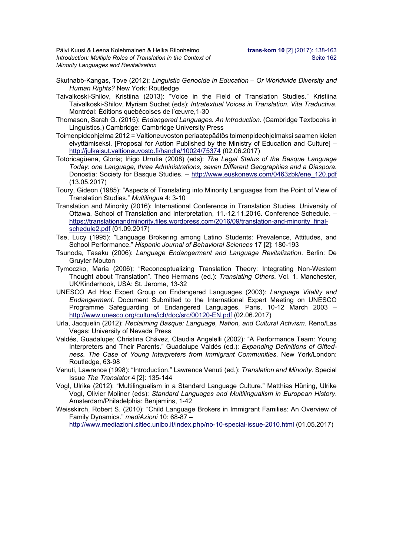Päivi Kuusi & Leena Kolehmainen & Helka Riionheimo **trans-kom 10** [2] (2017): 138-163 *Introduction: Multiple Roles of Translation in the Context of* Seite 162 *Minority Languages and Revitalisation* 

- Skutnabb-Kangas, Tove (2012): *Linguistic Genocide in Education Or Worldwide Diversity and Human Rights?* New York: Routledge
- Taivalkoski-Shilov, Kristiina (2013): "Voice in the Field of Translation Studies." Kristiina Taivalkoski-Shilov, Myriam Suchet (eds): *Intratextual Voices in Translation. Vita Traductiva*. Montréal: Éditions quebécoises de l'œuvre,1-30
- Thomason, Sarah G. (2015): *Endangered Languages. An Introduction*. (Cambridge Textbooks in Linguistics.) Cambridge: Cambridge University Press
- Toimenpideohjelma 2012 = Valtioneuvoston periaatepäätös toimenpideohjelmaksi saamen kielen elvyttämiseksi. [Proposal for Action Published by the Ministry of Education and Culture] – http://julkaisut.valtioneuvosto.fi/handle/10024/75374 (02.06.2017)
- Totoricagüena, Gloria; Iñigo Urrutia (2008) (eds): *The Legal Status of the Basque Language Today: one Language, three Administrations, seven Different Geographies and a Diaspora.* Donostia: Society for Basque Studies. *–* http://www.euskonews.com/0463zbk/ene\_120.pdf (13.05.2017)
- Toury, Gideon (1985): "Aspects of Translating into Minority Languages from the Point of View of Translation Studies." *Multilingua* 4: 3-10
- Translation and Minority (2016): International Conference in Translation Studies. University of Ottawa, School of Translation and Interpretation, 11.-12.11.2016. Conference Schedule. – https://translationandminority.files.wordpress.com/2016/09/translation-and-minority\_finalschedule2.pdf (01.09.2017)
- Tse, Lucy (1995): "Language Brokering among Latino Students: Prevalence, Attitudes, and School Performance." *Hispanic Journal of Behavioral Sciences* 17 [2]: 180-193
- Tsunoda, Tasaku (2006): *Language Endangerment and Language Revitalization*. Berlin: De Gruyter Mouton
- Tymoczko, Maria (2006): "Reconceptualizing Translation Theory: Integrating Non-Western Thought about Translation". Theo Hermans (ed.): *Translating Others*. Vol. 1. Manchester, UK/Kinderhook, USA: St. Jerome, 13-32
- UNESCO Ad Hoc Expert Group on Endangered Languages (2003): *Language Vitality and Endangerment*. Document Submitted to the International Expert Meeting on UNESCO Programme Safeguarding of Endangered Languages, Paris, 10-12 March 2003 – http://www.unesco.org/culture/ich/doc/src/00120-EN.pdf (02.06.2017)
- Urla, Jacquelin (2012): *Reclaiming Basque: Language, Nation, and Cultural Activism*. Reno/Las Vegas: University of Nevada Press
- Valdés, Guadalupe; Christina Chávez, Claudia Angelelli (2002): "A Performance Team: Young Interpreters and Their Parents." Guadalupe Valdés (ed.): *Expanding Definitions of Giftedness. The Case of Young Interpreters from Immigrant Communities*. New York/London: Routledge, 63-98
- Venuti, Lawrence (1998): "Introduction.ˮ Lawrence Venuti (ed.): *Translation and Minority.* Special Issue *The Translator* 4 [2]: 135-144
- Vogl, Ulrike (2012): "Multilingualism in a Standard Language Culture." Matthias Hüning, Ulrike Vogl, Olivier Moliner (eds): *Standard Languages and Multilingualism in European History*. Amsterdam/Philadelphia: Benjamins, 1-42

Weisskirch, Robert S. (2010): "Child Language Brokers in Immigrant Families: An Overview of Family Dynamics." *mediAzioni* 10: 68-87 –

http://www.mediazioni.sitlec.unibo.it/index.php/no-10-special-issue-2010.html (01.05.2017)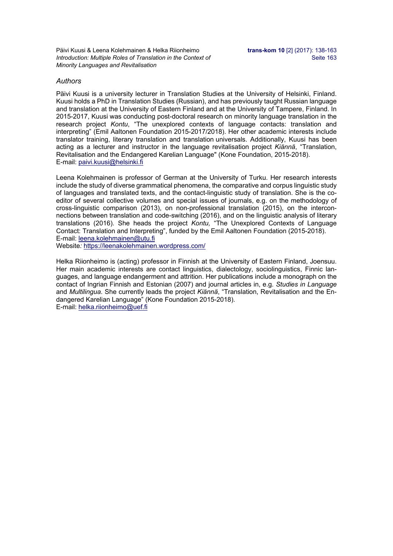Päivi Kuusi & Leena Kolehmainen & Helka Riionheimo **trans-kom 10** [2] (2017): 138-163 *Introduction: Multiple Roles of Translation in the Context of* Seite 163 *Minority Languages and Revitalisation* 

### *Authors*

Päivi Kuusi is a university lecturer in Translation Studies at the University of Helsinki, Finland. Kuusi holds a PhD in Translation Studies (Russian), and has previously taught Russian language and translation at the University of Eastern Finland and at the University of Tampere, Finland. In 2015-2017, Kuusi was conducting post-doctoral research on minority language translation in the research project *Kontu*, "The unexplored contexts of language contacts: translation and interpreting" (Emil Aaltonen Foundation 2015-2017/2018). Her other academic interests include translator training, literary translation and translation universals. Additionally, Kuusi has been acting as a lecturer and instructor in the language revitalisation project *Kiännä*, "Translation, Revitalisation and the Endangered Karelian Language" (Kone Foundation, 2015-2018). E-mail: paivi.kuusi@helsinki.fi

Leena Kolehmainen is professor of German at the University of Turku. Her research interests include the study of diverse grammatical phenomena, the comparative and corpus linguistic study of languages and translated texts, and the contact-linguistic study of translation. She is the coeditor of several collective volumes and special issues of journals, e.g. on the methodology of cross-linguistic comparison (2013), on non-professional translation (2015), on the interconnections between translation and code-switching (2016), and on the linguistic analysis of literary translations (2016). She heads the project *Kontu,* "The Unexplored Contexts of Language Contact: Translation and Interpreting", funded by the Emil Aaltonen Foundation (2015-2018). E-mail: leena.kolehmainen@utu.fi

Website*:* https://leenakolehmainen.wordpress.com/

Helka Riionheimo is (acting) professor in Finnish at the University of Eastern Finland, Joensuu. Her main academic interests are contact linguistics, dialectology, sociolinguistics, Finnic languages, and language endangerment and attrition. Her publications include a monograph on the contact of Ingrian Finnish and Estonian (2007) and journal articles in, e.g. *Studies in Language* and *Multilingua*. She currently leads the project *Kiännä*, "Translation, Revitalisation and the Endangered Karelian Language" (Kone Foundation 2015-2018). E-mail: helka.riionheimo@uef.fi